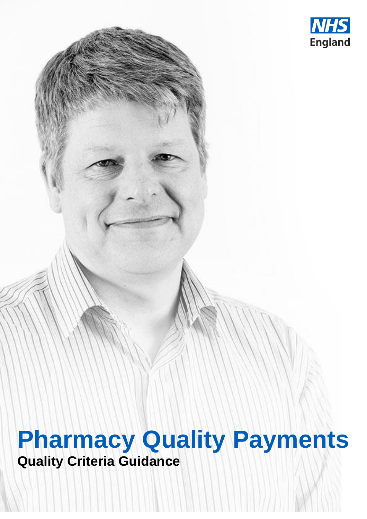

# **Pharmacy Quality Payments Quality Criteria Guidance**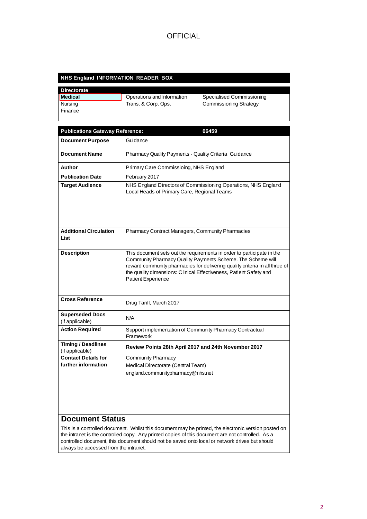#### **NHS England INFORMATION READER BOX**

| <b>Directorate</b> |                            |                               |
|--------------------|----------------------------|-------------------------------|
| <b>Medical</b>     | Operations and Information | Specialised Commissioning     |
| Nursing            | Trans. & Corp. Ops.        | <b>Commissioning Strategy</b> |
| Finance            |                            |                               |
|                    |                            |                               |

| <b>Publications Gateway Reference:</b>       | 06459                                                                                                                                                                                                                                                                                                                   |
|----------------------------------------------|-------------------------------------------------------------------------------------------------------------------------------------------------------------------------------------------------------------------------------------------------------------------------------------------------------------------------|
| <b>Document Purpose</b>                      | Guidance                                                                                                                                                                                                                                                                                                                |
| <b>Document Name</b>                         | <b>Pharmacy Quality Payments - Quality Criteria Guidance</b>                                                                                                                                                                                                                                                            |
| Author                                       | Primary Care Commissioing, NHS England                                                                                                                                                                                                                                                                                  |
| <b>Publication Date</b>                      | February 2017                                                                                                                                                                                                                                                                                                           |
| <b>Target Audience</b>                       | NHS England Directors of Commissioning Operations, NHS England<br>Local Heads of Primary Care, Regional Teams                                                                                                                                                                                                           |
|                                              |                                                                                                                                                                                                                                                                                                                         |
| <b>Additional Circulation</b><br>List        | Pharmacy Contract Managers, Community Pharmacies                                                                                                                                                                                                                                                                        |
| <b>Description</b>                           | This document sets out the requirements in order to participate in the<br>Community Pharmacy Quality Payments Scheme. The Scheme will<br>reward community pharmacies for delivering quality criteria in all three of<br>the quality dimensions: Clinical Effectiveness, Patient Safety and<br><b>Patient Experience</b> |
| <b>Cross Reference</b>                       | Drug Tariff, March 2017                                                                                                                                                                                                                                                                                                 |
| <b>Superseded Docs</b><br>(if applicable)    | N/A                                                                                                                                                                                                                                                                                                                     |
| <b>Action Required</b>                       | Support implementation of Community Pharmacy Contractual<br>Framework                                                                                                                                                                                                                                                   |
| <b>Timing / Deadlines</b><br>(if applicable) | Review Points 28th April 2017 and 24th November 2017                                                                                                                                                                                                                                                                    |
| <b>Contact Details for</b>                   | <b>Community Pharmacy</b>                                                                                                                                                                                                                                                                                               |
| further information                          | Medical Directorate (Central Team)                                                                                                                                                                                                                                                                                      |
|                                              | england.communitypharmacy@nhs.net                                                                                                                                                                                                                                                                                       |
|                                              |                                                                                                                                                                                                                                                                                                                         |

### **Document Status**

This is a controlled document. Whilst this document may be printed, the electronic version posted on the intranet is the controlled copy. Any printed copies of this document are not controlled. As a controlled document, this document should not be saved onto local or network drives but should always be accessed from the intranet.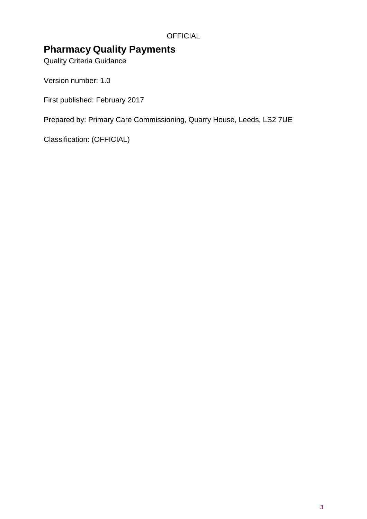### **Pharmacy Quality Payments**

Quality Criteria Guidance

Version number: 1.0

First published: February 2017

Prepared by: Primary Care Commissioning, Quarry House, Leeds, LS2 7UE

Classification: (OFFICIAL)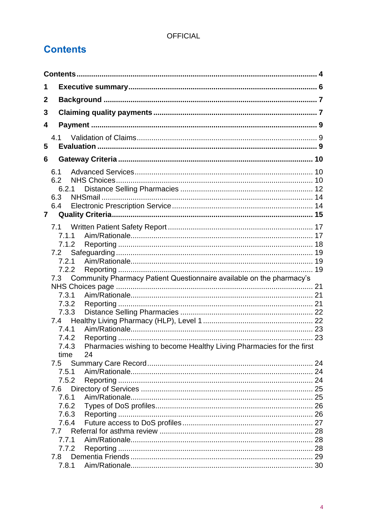# <span id="page-3-0"></span>**Contents**

| 1              |       |                                                                      |  |
|----------------|-------|----------------------------------------------------------------------|--|
| 2              |       |                                                                      |  |
| 3              |       |                                                                      |  |
| 4              |       |                                                                      |  |
|                |       |                                                                      |  |
| 5              | 4.1   |                                                                      |  |
| 6              |       |                                                                      |  |
|                |       |                                                                      |  |
|                | 6.1   |                                                                      |  |
|                | 6.2   |                                                                      |  |
|                | 6.2.1 |                                                                      |  |
|                | 6.3   |                                                                      |  |
| $\overline{7}$ | 6.4   |                                                                      |  |
|                |       |                                                                      |  |
|                |       |                                                                      |  |
|                | 7.1.1 |                                                                      |  |
|                | 7.1.2 |                                                                      |  |
|                | 7.2   |                                                                      |  |
|                | 7.2.1 |                                                                      |  |
|                | 7.2.2 |                                                                      |  |
|                | 7.3   | Community Pharmacy Patient Questionnaire available on the pharmacy's |  |
|                | 7.3.1 |                                                                      |  |
|                | 7.3.2 |                                                                      |  |
|                | 7.3.3 |                                                                      |  |
|                |       |                                                                      |  |
|                | 7.4.1 |                                                                      |  |
|                | 7.4.2 |                                                                      |  |
|                | 7.4.3 | Pharmacies wishing to become Healthy Living Pharmacies for the first |  |
|                | time  | 24                                                                   |  |
|                |       |                                                                      |  |
|                | 7.5.1 |                                                                      |  |
|                | 7.5.2 |                                                                      |  |
|                | 7.6   |                                                                      |  |
|                | 7.6.1 |                                                                      |  |
|                | 7.6.2 |                                                                      |  |
|                | 7.6.3 |                                                                      |  |
|                | 7.6.4 |                                                                      |  |
|                | 7.7   |                                                                      |  |
|                | 7.7.1 |                                                                      |  |
|                | 7.7.2 |                                                                      |  |
|                | 7.8   |                                                                      |  |
|                |       |                                                                      |  |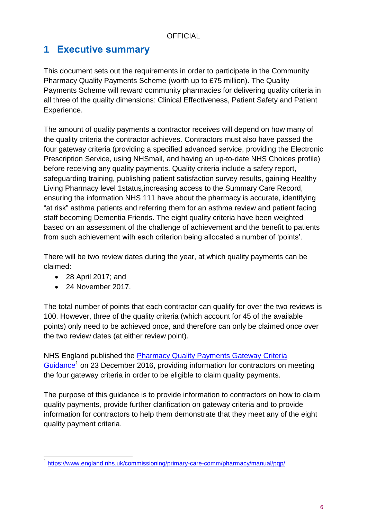## <span id="page-5-0"></span>**1 Executive summary**

This document sets out the requirements in order to participate in the Community Pharmacy Quality Payments Scheme (worth up to £75 million). The Quality Payments Scheme will reward community pharmacies for delivering quality criteria in all three of the quality dimensions: Clinical Effectiveness, Patient Safety and Patient Experience.

The amount of quality payments a contractor receives will depend on how many of the quality criteria the contractor achieves. Contractors must also have passed the four gateway criteria (providing a specified advanced service, providing the Electronic Prescription Service, using NHSmail, and having an up-to-date NHS Choices profile) before receiving any quality payments. Quality criteria include a safety report, safeguarding training, publishing patient satisfaction survey results, gaining Healthy Living Pharmacy level 1status,increasing access to the Summary Care Record, ensuring the information NHS 111 have about the pharmacy is accurate, identifying "at risk" asthma patients and referring them for an asthma review and patient facing staff becoming Dementia Friends. The eight quality criteria have been weighted based on an assessment of the challenge of achievement and the benefit to patients from such achievement with each criterion being allocated a number of 'points'.

There will be two review dates during the year, at which quality payments can be claimed:

- 28 April 2017; and
- 24 November 2017.

The total number of points that each contractor can qualify for over the two reviews is 100. However, three of the quality criteria (which account for 45 of the available points) only need to be achieved once, and therefore can only be claimed once over the two review dates (at either review point).

NHS England published the [Pharmacy Quality Payments Gateway Criteria](https://www.england.nhs.uk/commissioning/primary-care-comm/pharmacy/manual/pqp/)  [Guidance](https://www.england.nhs.uk/commissioning/primary-care-comm/pharmacy/manual/pqp/)<sup>1</sup> on 23 December 2016, providing information for contractors on meeting the four gateway criteria in order to be eligible to claim quality payments.

The purpose of this guidance is to provide information to contractors on how to claim quality payments, provide further clarification on gateway criteria and to provide information for contractors to help them demonstrate that they meet any of the eight quality payment criteria.

l <sup>1</sup> <https://www.england.nhs.uk/commissioning/primary-care-comm/pharmacy/manual/pqp/>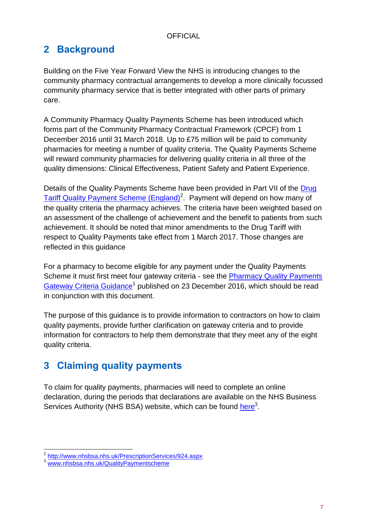# <span id="page-6-0"></span>**2 Background**

Building on the Five Year Forward View the NHS is introducing changes to the community pharmacy contractual arrangements to develop a more clinically focussed community pharmacy service that is better integrated with other parts of primary care.

A Community Pharmacy Quality Payments Scheme has been introduced which forms part of the Community Pharmacy Contractual Framework (CPCF) from 1 December 2016 until 31 March 2018. Up to £75 million will be paid to community pharmacies for meeting a number of quality criteria. The Quality Payments Scheme will reward community pharmacies for delivering quality criteria in all three of the quality dimensions: Clinical Effectiveness, Patient Safety and Patient Experience.

Details of the Quality Payments Scheme have been provided in Part VII of the [Drug](http://www.nhsbsa.nhs.uk/PrescriptionServices/924.aspx)  [Tariff Quality Payment Scheme \(England\)](http://www.nhsbsa.nhs.uk/PrescriptionServices/924.aspx)<sup>2</sup>. Payment will depend on how many of the quality criteria the pharmacy achieves. The criteria have been weighted based on an assessment of the challenge of achievement and the benefit to patients from such achievement. It should be noted that minor amendments to the Drug Tariff with respect to Quality Payments take effect from 1 March 2017. Those changes are reflected in this guidance

For a pharmacy to become eligible for any payment under the Quality Payments Scheme it must first meet four gateway criteria - see the Pharmacy Quality Payments [Gateway Criteria Guidance](https://www.england.nhs.uk/commissioning/primary-care-comm/pharmacy/manual/pqp/)<sup>1</sup> published on 23 December 2016, which should be read in conjunction with this document.

The purpose of this guidance is to provide information to contractors on how to claim quality payments, provide further clarification on gateway criteria and to provide information for contractors to help them demonstrate that they meet any of the eight quality criteria.

# <span id="page-6-1"></span>**3 Claiming quality payments**

To claim for quality payments, pharmacies will need to complete an online declaration, during the periods that declarations are available on the NHS Business Services Authority (NHS BSA) website, which can be found [here](http://www.nhsbsa.nhs.uk/QualityPaymentscheme)<sup>3</sup>.

 2 <http://www.nhsbsa.nhs.uk/PrescriptionServices/924.aspx>

<sup>&</sup>lt;sup>3</sup> [www.nhsbsa.nhs.uk/QualityPaymentscheme](http://www.nhsbsa.nhs.uk/QualityPaymentscheme)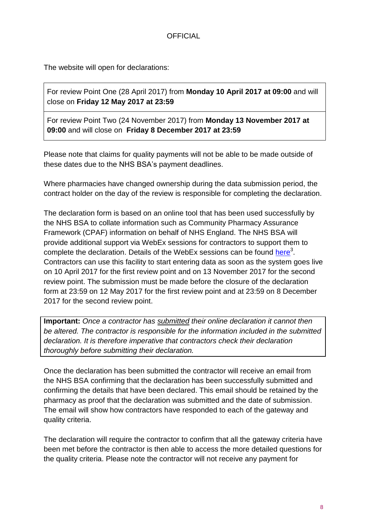The website will open for declarations:

For review Point One (28 April 2017) from **Monday 10 April 2017 at 09:00** and will close on **Friday 12 May 2017 at 23:59**

For review Point Two (24 November 2017) from **Monday 13 November 2017 at 09:00** and will close on **Friday 8 December 2017 at 23:59**

Please note that claims for quality payments will not be able to be made outside of these dates due to the NHS BSA's payment deadlines.

Where pharmacies have changed ownership during the data submission period, the contract holder on the day of the review is responsible for completing the declaration.

The declaration form is based on an online tool that has been used successfully by the NHS BSA to collate information such as Community Pharmacy Assurance Framework (CPAF) information on behalf of NHS England. The NHS BSA will provide additional support via WebEx sessions for contractors to support them to complete the declaration. Details of the WebEx sessions can be found [here](http://www.nhsbsa.nhs.uk/QualityPaymentScheme)<sup>3</sup>. Contractors can use this facility to start entering data as soon as the system goes live on 10 April 2017 for the first review point and on 13 November 2017 for the second review point. The submission must be made before the closure of the declaration form at 23:59 on 12 May 2017 for the first review point and at 23:59 on 8 December 2017 for the second review point.

**Important:** *Once a contractor has submitted their online declaration it cannot then be altered. The contractor is responsible for the information included in the submitted declaration. It is therefore imperative that contractors check their declaration thoroughly before submitting their declaration.*

Once the declaration has been submitted the contractor will receive an email from the NHS BSA confirming that the declaration has been successfully submitted and confirming the details that have been declared. This email should be retained by the pharmacy as proof that the declaration was submitted and the date of submission. The email will show how contractors have responded to each of the gateway and quality criteria.

The declaration will require the contractor to confirm that all the gateway criteria have been met before the contractor is then able to access the more detailed questions for the quality criteria. Please note the contractor will not receive any payment for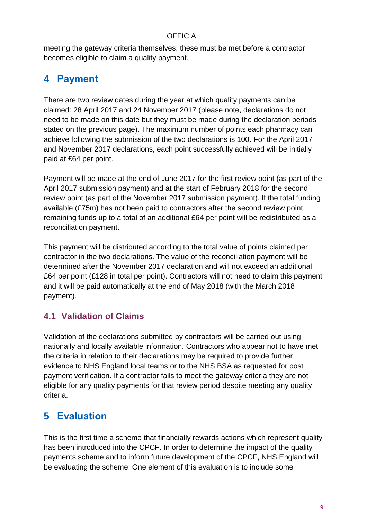meeting the gateway criteria themselves; these must be met before a contractor becomes eligible to claim a quality payment.

# <span id="page-8-0"></span>**4 Payment**

There are two review dates during the year at which quality payments can be claimed: 28 April 2017 and 24 November 2017 (please note, declarations do not need to be made on this date but they must be made during the declaration periods stated on the previous page). The maximum number of points each pharmacy can achieve following the submission of the two declarations is 100. For the April 2017 and November 2017 declarations, each point successfully achieved will be initially paid at £64 per point.

Payment will be made at the end of June 2017 for the first review point (as part of the April 2017 submission payment) and at the start of February 2018 for the second review point (as part of the November 2017 submission payment). If the total funding available (£75m) has not been paid to contractors after the second review point, remaining funds up to a total of an additional £64 per point will be redistributed as a reconciliation payment.

This payment will be distributed according to the total value of points claimed per contractor in the two declarations. The value of the reconciliation payment will be determined after the November 2017 declaration and will not exceed an additional £64 per point (£128 in total per point). Contractors will not need to claim this payment and it will be paid automatically at the end of May 2018 (with the March 2018 payment).

### <span id="page-8-1"></span>**4.1 Validation of Claims**

Validation of the declarations submitted by contractors will be carried out using nationally and locally available information. Contractors who appear not to have met the criteria in relation to their declarations may be required to provide further evidence to NHS England local teams or to the NHS BSA as requested for post payment verification. If a contractor fails to meet the gateway criteria they are not eligible for any quality payments for that review period despite meeting any quality criteria.

# <span id="page-8-2"></span>**5 Evaluation**

This is the first time a scheme that financially rewards actions which represent quality has been introduced into the CPCF. In order to determine the impact of the quality payments scheme and to inform future development of the CPCF, NHS England will be evaluating the scheme. One element of this evaluation is to include some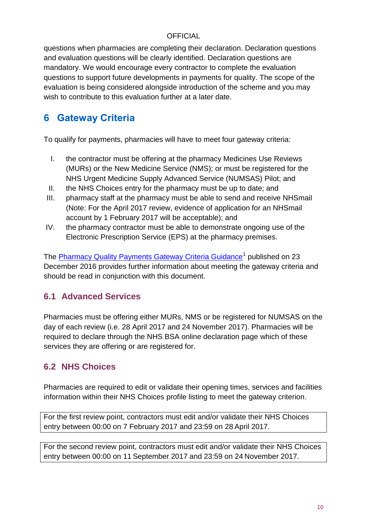questions when pharmacies are completing their declaration. Declaration questions and evaluation questions will be clearly identified. Declaration questions are mandatory. We would encourage every contractor to complete the evaluation questions to support future developments in payments for quality. The scope of the evaluation is being considered alongside introduction of the scheme and you may wish to contribute to this evaluation further at a later date.

# <span id="page-9-0"></span>**6 Gateway Criteria**

To qualify for payments, pharmacies will have to meet four gateway criteria:

- I. the contractor must be offering at the pharmacy Medicines Use Reviews (MURs) or the New Medicine Service (NMS); or must be registered for the NHS Urgent Medicine Supply Advanced Service (NUMSAS) Pilot; and
- II. the NHS Choices entry for the pharmacy must be up to date; and
- III. pharmacy staff at the pharmacy must be able to send and receive NHSmail (Note: For the April 2017 review, evidence of application for an NHSmail account by 1 February 2017 will be acceptable); and
- IV. the pharmacy contractor must be able to demonstrate ongoing use of the Electronic Prescription Service (EPS) at the pharmacy premises.

The <u>Pharmacy Quality Payments Gateway Criteria Guidance</u><sup>1</sup> published on 23 December 2016 provides further information about meeting the gateway criteria and should be read in conjunction with this document.

### <span id="page-9-1"></span>**6.1 Advanced Services**

Pharmacies must be offering either MURs, NMS or be registered for NUMSAS on the day of each review (i.e. 28 April 2017 and 24 November 2017). Pharmacies will be required to declare through the NHS BSA online declaration page which of these services they are offering or are registered for.

### <span id="page-9-2"></span>**6.2 NHS Choices**

Pharmacies are required to edit or validate their opening times, services and facilities information within their NHS Choices profile listing to meet the gateway criterion.

For the first review point, contractors must edit and/or validate their NHS Choices entry between 00:00 on 7 February 2017 and 23:59 on 28 April 2017.

For the second review point, contractors must edit and/or validate their NHS Choices entry between 00:00 on 11 September 2017 and 23:59 on 24 November 2017.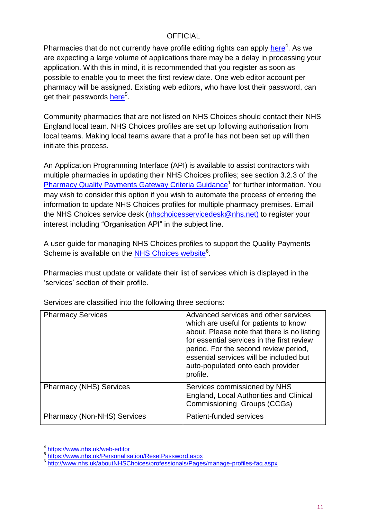Pharmacies that do not currently have profile editing rights can apply [here](https://www.nhs.uk/web-editor)<sup>4</sup>. As we are expecting a large volume of applications there may be a delay in processing your application. With this in mind, it is recommended that you register as soon as possible to enable you to meet the first review date. One web editor account per pharmacy will be assigned. Existing web editors, who have lost their password, can get their passwords <u>[here](https://www.nhs.uk/Personalisation/ResetPassword.aspx)</u><sup>5</sup>.

Community pharmacies that are not listed on NHS Choices should contact their NHS England local team. NHS Choices profiles are set up following authorisation from local teams. Making local teams aware that a profile has not been set up will then initiate this process.

An Application Programming Interface (API) is available to assist contractors with multiple pharmacies in updating their NHS Choices profiles; see section 3.2.3 of the [Pharmacy Quality Payments Gateway Criteria Guidance](https://www.england.nhs.uk/commissioning/primary-care-comm/pharmacy/manual/pqp/)<sup>1</sup> for further information. You may wish to consider this option if you wish to automate the process of entering the information to update NHS Choices profiles for multiple pharmacy premises. Email the NHS Choices service desk [\(nhschoicesservicedesk@nhs.net\)](mailto:nhschoicesservicedesk@nhs.net) to register your interest including "Organisation API" in the subject line.

A user guide for managing NHS Choices profiles to support the Quality Payments Scheme is available on the **NHS Choices website**<sup>6</sup>.

Pharmacies must update or validate their list of services which is displayed in the 'services' section of their profile.

| <b>Pharmacy Services</b>           | Advanced services and other services<br>which are useful for patients to know<br>about. Please note that there is no listing<br>for essential services in the first review<br>period. For the second review period,<br>essential services will be included but<br>auto-populated onto each provider<br>profile. |
|------------------------------------|-----------------------------------------------------------------------------------------------------------------------------------------------------------------------------------------------------------------------------------------------------------------------------------------------------------------|
| <b>Pharmacy (NHS) Services</b>     | Services commissioned by NHS<br>England, Local Authorities and Clinical<br>Commissioning Groups (CCGs)                                                                                                                                                                                                          |
| <b>Pharmacy (Non-NHS) Services</b> | Patient-funded services                                                                                                                                                                                                                                                                                         |

Services are classified into the following three sections:

 $\overline{\phantom{a}}$ 4 <https://www.nhs.uk/web-editor>

<sup>5</sup> <https://www.nhs.uk/Personalisation/ResetPassword.aspx>

<sup>&</sup>lt;sup>6</sup> <http://www.nhs.uk/aboutNHSChoices/professionals/Pages/manage-profiles-faq.aspx>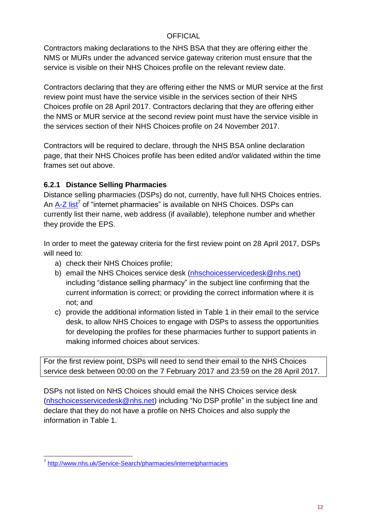Contractors making declarations to the NHS BSA that they are offering either the NMS or MURs under the advanced service gateway criterion must ensure that the service is visible on their NHS Choices profile on the relevant review date.

Contractors declaring that they are offering either the NMS or MUR service at the first review point must have the service visible in the services section of their NHS Choices profile on 28 April 2017. Contractors declaring that they are offering either the NMS or MUR service at the second review point must have the service visible in the services section of their NHS Choices profile on 24 November 2017.

Contractors will be required to declare, through the NHS BSA online declaration page, that their NHS Choices profile has been edited and/or validated within the time frames set out above.

### <span id="page-11-0"></span>**6.2.1 Distance Selling Pharmacies**

Distance selling pharmacies (DSPs) do not, currently, have full NHS Choices entries. An [A-Z list](http://www.nhs.uk/Service-Search/pharmacies/internetpharmacies)<sup>7</sup> of "internet pharmacies" is available on NHS Choices. DSPs can currently list their name, web address (if available), telephone number and whether they provide the EPS.

In order to meet the gateway criteria for the first review point on 28 April 2017, DSPs will need to:

- a) check their NHS Choices profile;
- b) email the NHS Choices service desk [\(nhschoicesservicedesk@nhs.net\)](mailto:nhschoicesservicedesk@nhs.net) including "distance selling pharmacy" in the subject line confirming that the current information is correct; or providing the correct information where it is not; and
- c) provide the additional information listed in Table 1 in their email to the service desk, to allow NHS Choices to engage with DSPs to assess the opportunities for developing the profiles for these pharmacies further to support patients in making informed choices about services.

For the first review point, DSPs will need to send their email to the NHS Choices service desk between 00:00 on the 7 February 2017 and 23:59 on the 28 April 2017.

DSPs not listed on NHS Choices should email the NHS Choices service desk [\(nhschoicesservicedesk@nhs.net\)](mailto:nhschoicesservicedesk@nhs.net) including "No DSP profile" in the subject line and declare that they do not have a profile on NHS Choices and also supply the information in Table 1.

 7 <http://www.nhs.uk/Service-Search/pharmacies/internetpharmacies>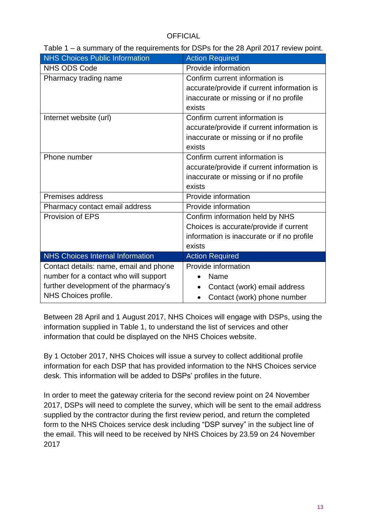| <b>NHS Choices Public Information</b>   | <b>Action Required</b>                     |
|-----------------------------------------|--------------------------------------------|
| <b>NHS ODS Code</b>                     | Provide information                        |
| Pharmacy trading name                   | Confirm current information is             |
|                                         | accurate/provide if current information is |
|                                         | inaccurate or missing or if no profile     |
|                                         | exists                                     |
| Internet website (url)                  | Confirm current information is             |
|                                         | accurate/provide if current information is |
|                                         | inaccurate or missing or if no profile     |
|                                         | exists                                     |
| Phone number                            | Confirm current information is             |
|                                         | accurate/provide if current information is |
|                                         | inaccurate or missing or if no profile     |
|                                         | exists                                     |
| <b>Premises address</b>                 | Provide information                        |
| Pharmacy contact email address          | Provide information                        |
| Provision of EPS                        | Confirm information held by NHS            |
|                                         | Choices is accurate/provide if current     |
|                                         | information is inaccurate or if no profile |
|                                         | exists                                     |
| <b>NHS Choices Internal Information</b> | <b>Action Required</b>                     |
| Contact details: name, email and phone  | Provide information                        |
| number for a contact who will support   | Name                                       |
| further development of the pharmacy's   | Contact (work) email address               |
| NHS Choices profile.                    | Contact (work) phone number                |

Table 1 – a summary of the requirements for DSPs for the 28 April 2017 review point.

Between 28 April and 1 August 2017, NHS Choices will engage with DSPs, using the information supplied in Table 1, to understand the list of services and other information that could be displayed on the NHS Choices website.

By 1 October 2017, NHS Choices will issue a survey to collect additional profile information for each DSP that has provided information to the NHS Choices service desk. This information will be added to DSPs' profiles in the future.

In order to meet the gateway criteria for the second review point on 24 November 2017, DSPs will need to complete the survey, which will be sent to the email address supplied by the contractor during the first review period, and return the completed form to the NHS Choices service desk including "DSP survey" in the subject line of the email. This will need to be received by NHS Choices by 23.59 on 24 November 2017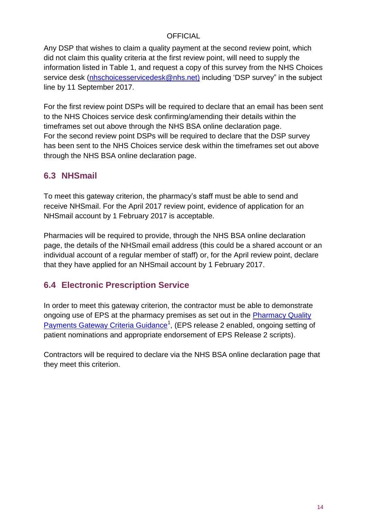Any DSP that wishes to claim a quality payment at the second review point, which did not claim this quality criteria at the first review point, will need to supply the information listed in Table 1, and request a copy of this survey from the NHS Choices service desk [\(nhschoicesservicedesk@nhs.net\)](mailto:nhschoicesservicedesk@nhs.net) including 'DSP survey" in the subject line by 11 September 2017.

For the first review point DSPs will be required to declare that an email has been sent to the NHS Choices service desk confirming/amending their details within the timeframes set out above through the NHS BSA online declaration page. For the second review point DSPs will be required to declare that the DSP survey has been sent to the NHS Choices service desk within the timeframes set out above through the NHS BSA online declaration page.

### <span id="page-13-0"></span>**6.3 NHSmail**

To meet this gateway criterion, the pharmacy's staff must be able to send and receive NHSmail. For the April 2017 review point, evidence of application for an NHSmail account by 1 February 2017 is acceptable.

Pharmacies will be required to provide, through the NHS BSA online declaration page, the details of the NHSmail email address (this could be a shared account or an individual account of a regular member of staff) or, for the April review point, declare that they have applied for an NHSmail account by 1 February 2017.

### <span id="page-13-1"></span>**6.4 Electronic Prescription Service**

In order to meet this gateway criterion, the contractor must be able to demonstrate ongoing use of EPS at the pharmacy premises as set out in the [Pharmacy Quality](https://www.england.nhs.uk/commissioning/primary-care-comm/pharmacy/manual/pqp/)  [Payments Gateway Criteria Guidance](https://www.england.nhs.uk/commissioning/primary-care-comm/pharmacy/manual/pqp/)<sup>1</sup>, (EPS release 2 enabled, ongoing setting of patient nominations and appropriate endorsement of EPS Release 2 scripts).

Contractors will be required to declare via the NHS BSA online declaration page that they meet this criterion.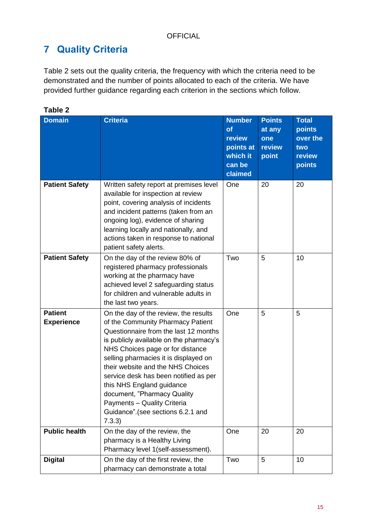# <span id="page-14-0"></span>**7 Quality Criteria**

Table 2 sets out the quality criteria, the frequency with which the criteria need to be demonstrated and the number of points allocated to each of the criteria. We have provided further guidance regarding each criterion in the sections which follow.

| <b>Domain</b>                       | <b>Criteria</b>                                                                                                                                                                                                                                                                                                                                                                                                                                                     | <b>Number</b><br>of<br>review<br>points at<br>which it<br>can be<br>claimed | <b>Points</b><br>at any<br>one<br>review<br>point | <b>Total</b><br>points<br>over the<br>two<br>review<br>points |
|-------------------------------------|---------------------------------------------------------------------------------------------------------------------------------------------------------------------------------------------------------------------------------------------------------------------------------------------------------------------------------------------------------------------------------------------------------------------------------------------------------------------|-----------------------------------------------------------------------------|---------------------------------------------------|---------------------------------------------------------------|
| <b>Patient Safety</b>               | Written safety report at premises level<br>available for inspection at review<br>point, covering analysis of incidents<br>and incident patterns (taken from an<br>ongoing log), evidence of sharing<br>learning locally and nationally, and<br>actions taken in response to national<br>patient safety alerts.                                                                                                                                                      | One                                                                         | 20                                                | 20                                                            |
| <b>Patient Safety</b>               | On the day of the review 80% of<br>registered pharmacy professionals<br>working at the pharmacy have<br>achieved level 2 safeguarding status<br>for children and vulnerable adults in<br>the last two years.                                                                                                                                                                                                                                                        | Two                                                                         | 5                                                 | 10                                                            |
| <b>Patient</b><br><b>Experience</b> | On the day of the review, the results<br>of the Community Pharmacy Patient<br>Questionnaire from the last 12 months<br>is publicly available on the pharmacy's<br>NHS Choices page or for distance<br>selling pharmacies it is displayed on<br>their website and the NHS Choices<br>service desk has been notified as per<br>this NHS England guidance<br>document, "Pharmacy Quality<br>Payments - Quality Criteria<br>Guidance".(see sections 6.2.1 and<br>7.3.3) | One                                                                         | 5                                                 | 5                                                             |
| <b>Public health</b>                | On the day of the review, the<br>pharmacy is a Healthy Living<br>Pharmacy level 1(self-assessment).                                                                                                                                                                                                                                                                                                                                                                 | One                                                                         | 20                                                | 20                                                            |
| <b>Digital</b>                      | On the day of the first review, the                                                                                                                                                                                                                                                                                                                                                                                                                                 | Two                                                                         | 5                                                 | 10                                                            |

pharmacy can demonstrate a total

**Table 2**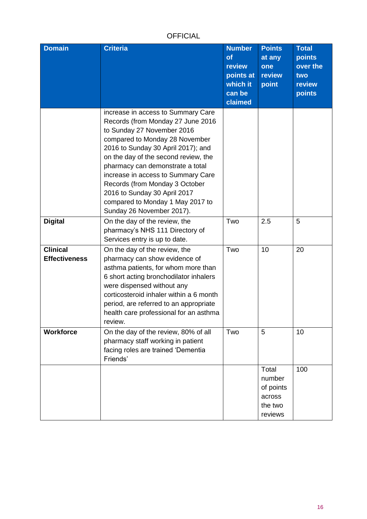| <b>Domain</b>                           | <b>Criteria</b>                                                                                                                                                                                                                                                                                                                                                                                                                    | <b>Number</b><br>of<br>review<br>points at<br>which it<br>can be<br>claimed | <b>Points</b><br>at any<br>one<br>review<br>point            | <b>Total</b><br>points<br>over the<br>two<br>review<br>points |
|-----------------------------------------|------------------------------------------------------------------------------------------------------------------------------------------------------------------------------------------------------------------------------------------------------------------------------------------------------------------------------------------------------------------------------------------------------------------------------------|-----------------------------------------------------------------------------|--------------------------------------------------------------|---------------------------------------------------------------|
|                                         | increase in access to Summary Care<br>Records (from Monday 27 June 2016<br>to Sunday 27 November 2016<br>compared to Monday 28 November<br>2016 to Sunday 30 April 2017); and<br>on the day of the second review, the<br>pharmacy can demonstrate a total<br>increase in access to Summary Care<br>Records (from Monday 3 October<br>2016 to Sunday 30 April 2017<br>compared to Monday 1 May 2017 to<br>Sunday 26 November 2017). |                                                                             |                                                              |                                                               |
| <b>Digital</b>                          | On the day of the review, the<br>pharmacy's NHS 111 Directory of<br>Services entry is up to date.                                                                                                                                                                                                                                                                                                                                  | Two                                                                         | 2.5                                                          | 5                                                             |
| <b>Clinical</b><br><b>Effectiveness</b> | On the day of the review, the<br>pharmacy can show evidence of<br>asthma patients, for whom more than<br>6 short acting bronchodilator inhalers<br>were dispensed without any<br>corticosteroid inhaler within a 6 month<br>period, are referred to an appropriate<br>health care professional for an asthma<br>review.                                                                                                            | Two                                                                         | 10                                                           | 20                                                            |
| <b>Workforce</b>                        | On the day of the review, 80% of all<br>pharmacy staff working in patient<br>facing roles are trained 'Dementia<br>Friends'                                                                                                                                                                                                                                                                                                        | Two                                                                         | 5                                                            | 10                                                            |
|                                         |                                                                                                                                                                                                                                                                                                                                                                                                                                    |                                                                             | Total<br>number<br>of points<br>across<br>the two<br>reviews | 100                                                           |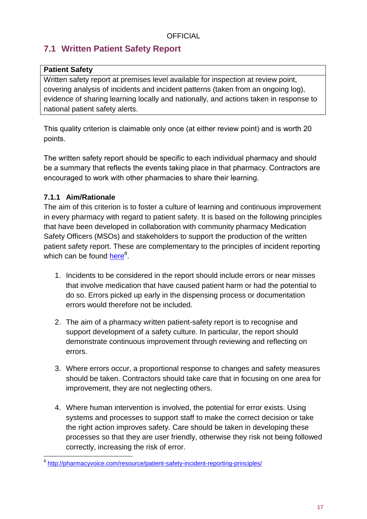### <span id="page-16-0"></span>**7.1 Written Patient Safety Report**

### **Patient Safety**

Written safety report at premises level available for inspection at review point, covering analysis of incidents and incident patterns (taken from an ongoing log), evidence of sharing learning locally and nationally, and actions taken in response to national patient safety alerts.

This quality criterion is claimable only once (at either review point) and is worth 20 points.

The written safety report should be specific to each individual pharmacy and should be a summary that reflects the events taking place in that pharmacy. Contractors are encouraged to work with other pharmacies to share their learning.

### <span id="page-16-1"></span>**7.1.1 Aim/Rationale**

The aim of this criterion is to foster a culture of learning and continuous improvement in every pharmacy with regard to patient safety. It is based on the following principles that have been developed in collaboration with community pharmacy Medication Safety Officers (MSOs) and stakeholders to support the production of the written patient safety report. These are complementary to the principles of incident reporting which can be found <u>here</u><sup>8</sup>.

- 1. Incidents to be considered in the report should include errors or near misses that involve medication that have caused patient harm or had the potential to do so. Errors picked up early in the dispensing process or documentation errors would therefore not be included.
- 2. The aim of a pharmacy written patient-safety report is to recognise and support development of a safety culture. In particular, the report should demonstrate continuous improvement through reviewing and reflecting on errors.
- 3. Where errors occur, a proportional response to changes and safety measures should be taken. Contractors should take care that in focusing on one area for improvement, they are not neglecting others.
- 4. Where human intervention is involved, the potential for error exists. Using systems and processes to support staff to make the correct decision or take the right action improves safety. Care should be taken in developing these processes so that they are user friendly, otherwise they risk not being followed correctly, increasing the risk of error.

a<br>8 <http://pharmacyvoice.com/resource/patient-safety-incident-reporting-principles/>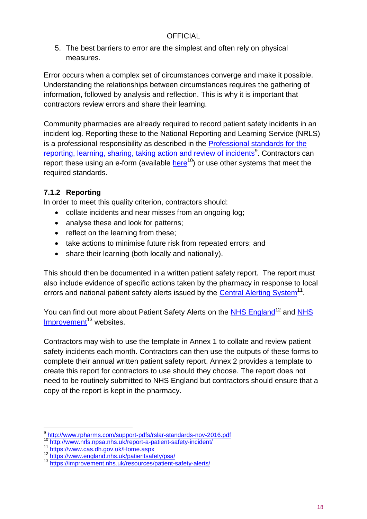5. The best barriers to error are the simplest and often rely on physical measures.

Error occurs when a complex set of circumstances converge and make it possible. Understanding the relationships between circumstances requires the gathering of information, followed by analysis and reflection. This is why it is important that contractors review errors and share their learning.

Community pharmacies are already required to record patient safety incidents in an incident log. Reporting these to the National Reporting and Learning Service (NRLS) is a professional responsibility as described in the [Professional standards for the](http://www.rpharms.com/support-pdfs/rslar-standards-nov-2016.pdf) <u>[reporting, learning, sharing, taking action and review of incidents](http://www.rpharms.com/support-pdfs/rslar-standards-nov-2016.pdf)</u><sup>9</sup>. Contractors can report these using an e-form (available [here](http://www.nrls.npsa.nhs.uk/report-a-patient-safety-incident/)<sup>10</sup>) or use other systems that meet the required standards.

### <span id="page-17-0"></span>**7.1.2 Reporting**

In order to meet this quality criterion, contractors should:

- collate incidents and near misses from an ongoing log;
- analyse these and look for patterns:
- reflect on the learning from these;
- take actions to minimise future risk from repeated errors; and
- share their learning (both locally and nationally).

This should then be documented in a written patient safety report. The report must also include evidence of specific actions taken by the pharmacy in response to local errors and national patient safety alerts issued by the [Central Alerting System](https://www.cas.dh.gov.uk/Home.aspx)<sup>11</sup>.

You can find out more about Patient Safety Alerts on the [NHS England](https://www.england.nhs.uk/patientsafety/psa/)<sup>12</sup> and NHS  $Improvement<sup>13</sup>$  $Improvement<sup>13</sup>$  websites.

Contractors may wish to use the template in Annex 1 to collate and review patient safety incidents each month. Contractors can then use the outputs of these forms to complete their annual written patient safety report. Annex 2 provides a template to create this report for contractors to use should they choose. The report does not need to be routinely submitted to NHS England but contractors should ensure that a copy of the report is kept in the pharmacy.

 $\overline{a}$ 

<sup>9</sup> <http://www.rpharms.com/support-pdfs/rslar-standards-nov-2016.pdf>

<http://www.nrls.npsa.nhs.uk/report-a-patient-safety-incident/>

<sup>11</sup> <https://www.cas.dh.gov.uk/Home.aspx>

<sup>12</sup> <https://www.england.nhs.uk/patientsafety/psa/>

<sup>13</sup> <https://improvement.nhs.uk/resources/patient-safety-alerts/>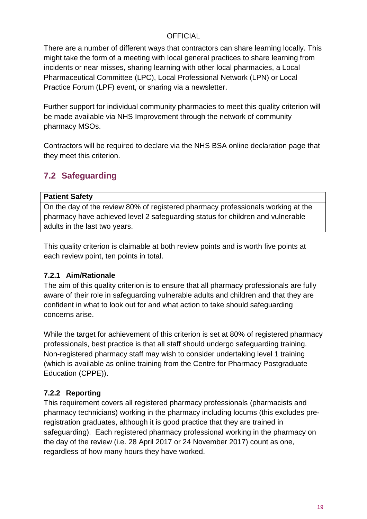There are a number of different ways that contractors can share learning locally. This might take the form of a meeting with local general practices to share learning from incidents or near misses, sharing learning with other local pharmacies, a Local Pharmaceutical Committee (LPC), Local Professional Network (LPN) or Local Practice Forum (LPF) event, or sharing via a newsletter.

Further support for individual community pharmacies to meet this quality criterion will be made available via NHS Improvement through the network of community pharmacy MSOs.

Contractors will be required to declare via the NHS BSA online declaration page that they meet this criterion.

### <span id="page-18-0"></span>**7.2 Safeguarding**

#### **Patient Safety**

On the day of the review 80% of registered pharmacy professionals working at the pharmacy have achieved level 2 safeguarding status for children and vulnerable adults in the last two years.

This quality criterion is claimable at both review points and is worth five points at each review point, ten points in total.

### <span id="page-18-1"></span>**7.2.1 Aim/Rationale**

The aim of this quality criterion is to ensure that all pharmacy professionals are fully aware of their role in safeguarding vulnerable adults and children and that they are confident in what to look out for and what action to take should safeguarding concerns arise.

While the target for achievement of this criterion is set at 80% of registered pharmacy professionals, best practice is that all staff should undergo safeguarding training. Non-registered pharmacy staff may wish to consider undertaking level 1 training (which is available as online training from the Centre for Pharmacy Postgraduate Education (CPPE)).

### <span id="page-18-2"></span>**7.2.2 Reporting**

This requirement covers all registered pharmacy professionals (pharmacists and pharmacy technicians) working in the pharmacy including locums (this excludes preregistration graduates, although it is good practice that they are trained in safeguarding). Each registered pharmacy professional working in the pharmacy on the day of the review (i.e. 28 April 2017 or 24 November 2017) count as one, regardless of how many hours they have worked.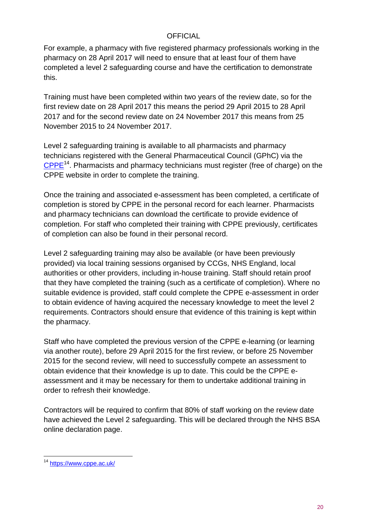For example, a pharmacy with five registered pharmacy professionals working in the pharmacy on 28 April 2017 will need to ensure that at least four of them have completed a level 2 safeguarding course and have the certification to demonstrate this.

Training must have been completed within two years of the review date, so for the first review date on 28 April 2017 this means the period 29 April 2015 to 28 April 2017 and for the second review date on 24 November 2017 this means from 25 November 2015 to 24 November 2017.

Level 2 safeguarding training is available to all pharmacists and pharmacy technicians registered with the General Pharmaceutical Council (GPhC) via the [CPPE](https://www.cppe.ac.uk/)<sup>14</sup>. Pharmacists and pharmacy technicians must register (free of charge) on the CPPE website in order to complete the training.

Once the training and associated e-assessment has been completed, a certificate of completion is stored by CPPE in the personal record for each learner. Pharmacists and pharmacy technicians can download the certificate to provide evidence of completion. For staff who completed their training with CPPE previously, certificates of completion can also be found in their personal record.

Level 2 safeguarding training may also be available (or have been previously provided) via local training sessions organised by CCGs, NHS England, local authorities or other providers, including in-house training. Staff should retain proof that they have completed the training (such as a certificate of completion). Where no suitable evidence is provided, staff could complete the CPPE e-assessment in order to obtain evidence of having acquired the necessary knowledge to meet the level 2 requirements. Contractors should ensure that evidence of this training is kept within the pharmacy.

Staff who have completed the previous version of the CPPE e-learning (or learning via another route), before 29 April 2015 for the first review, or before 25 November 2015 for the second review, will need to successfully compete an assessment to obtain evidence that their knowledge is up to date. This could be the CPPE eassessment and it may be necessary for them to undertake additional training in order to refresh their knowledge.

Contractors will be required to confirm that 80% of staff working on the review date have achieved the Level 2 safeguarding. This will be declared through the NHS BSA online declaration page.

l <sup>14</sup> <https://www.cppe.ac.uk/>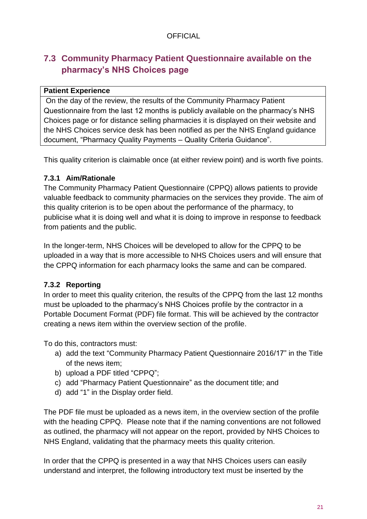### <span id="page-20-0"></span>**7.3 Community Pharmacy Patient Questionnaire available on the pharmacy's NHS Choices page**

### **Patient Experience**

On the day of the review, the results of the Community Pharmacy Patient Questionnaire from the last 12 months is publicly available on the pharmacy's NHS Choices page or for distance selling pharmacies it is displayed on their website and the NHS Choices service desk has been notified as per the NHS England guidance document, "Pharmacy Quality Payments – Quality Criteria Guidance".

This quality criterion is claimable once (at either review point) and is worth five points.

### <span id="page-20-1"></span>**7.3.1 Aim/Rationale**

The Community Pharmacy Patient Questionnaire (CPPQ) allows patients to provide valuable feedback to community pharmacies on the services they provide. The aim of this quality criterion is to be open about the performance of the pharmacy, to publicise what it is doing well and what it is doing to improve in response to feedback from patients and the public.

In the longer-term, NHS Choices will be developed to allow for the CPPQ to be uploaded in a way that is more accessible to NHS Choices users and will ensure that the CPPQ information for each pharmacy looks the same and can be compared.

### <span id="page-20-2"></span>**7.3.2 Reporting**

In order to meet this quality criterion, the results of the CPPQ from the last 12 months must be uploaded to the pharmacy's NHS Choices profile by the contractor in a Portable Document Format (PDF) file format. This will be achieved by the contractor creating a news item within the overview section of the profile.

To do this, contractors must:

- a) add the text "Community Pharmacy Patient Questionnaire 2016/17" in the Title of the news item;
- b) upload a PDF titled "CPPQ";
- c) add "Pharmacy Patient Questionnaire" as the document title; and
- d) add "1" in the Display order field.

The PDF file must be uploaded as a news item, in the overview section of the profile with the heading CPPQ. Please note that if the naming conventions are not followed as outlined, the pharmacy will not appear on the report, provided by NHS Choices to NHS England, validating that the pharmacy meets this quality criterion.

In order that the CPPQ is presented in a way that NHS Choices users can easily understand and interpret, the following introductory text must be inserted by the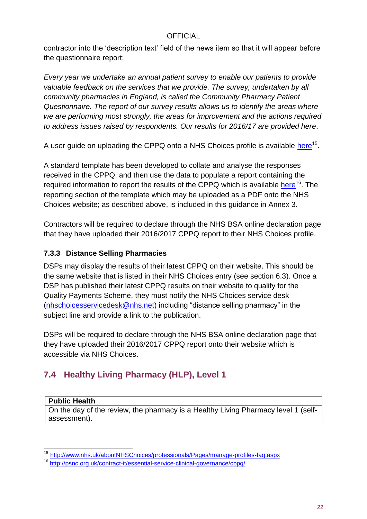contractor into the 'description text' field of the news item so that it will appear before the questionnaire report:

*Every year we undertake an annual patient survey to enable our patients to provide valuable feedback on the services that we provide. The survey, undertaken by all community pharmacies in England, is called the Community Pharmacy Patient Questionnaire. The report of our survey results allows us to identify the areas where we are performing most strongly, the areas for improvement and the actions required to address issues raised by respondents. Our results for 2016/17 are provided here*.

A user guide on uploading the CPPQ onto a NHS Choices profile is available <u>[here](http://www.nhs.uk/aboutNHSChoices/professionals/Pages/manage-profiles-faq.aspx)</u><sup>15</sup>.

A standard template has been developed to collate and analyse the responses received in the CPPQ, and then use the data to populate a report containing the required information to report the results of the CPPQ which is available [here](http://psnc.org.uk/contract-it/essential-service-clinical-governance/cppq/)<sup>16</sup>. The reporting section of the template which may be uploaded as a PDF onto the NHS Choices website; as described above, is included in this guidance in Annex 3.

Contractors will be required to declare through the NHS BSA online declaration page that they have uploaded their 2016/2017 CPPQ report to their NHS Choices profile.

### <span id="page-21-0"></span>**7.3.3 Distance Selling Pharmacies**

DSPs may display the results of their latest CPPQ on their website. This should be the same website that is listed in their NHS Choices entry (see section 6.3). Once a DSP has published their latest CPPQ results on their website to qualify for the Quality Payments Scheme, they must notify the NHS Choices service desk [\(nhschoicesservicedesk@nhs.net\)](mailto:nhschoicesservicedesk@nhs.net) including "distance selling pharmacy" in the subject line and provide a link to the publication.

DSPs will be required to declare through the NHS BSA online declaration page that they have uploaded their 2016/2017 CPPQ report onto their website which is accessible via NHS Choices.

### <span id="page-21-1"></span>**7.4 Healthy Living Pharmacy (HLP), Level 1**

#### **Public Health**

On the day of the review, the pharmacy is a Healthy Living Pharmacy level 1 (selfassessment).

l <sup>15</sup> <http://www.nhs.uk/aboutNHSChoices/professionals/Pages/manage-profiles-faq.aspx>

<sup>16</sup> <http://psnc.org.uk/contract-it/essential-service-clinical-governance/cppq/>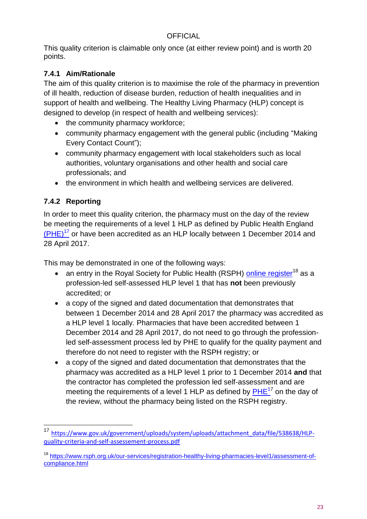This quality criterion is claimable only once (at either review point) and is worth 20 points.

### <span id="page-22-0"></span>**7.4.1 Aim/Rationale**

The aim of this quality criterion is to maximise the role of the pharmacy in prevention of ill health, reduction of disease burden, reduction of health inequalities and in support of health and wellbeing. The Healthy Living Pharmacy (HLP) concept is designed to develop (in respect of health and wellbeing services):

- the community pharmacy workforce;
- community pharmacy engagement with the general public (including "Making Every Contact Count");
- community pharmacy engagement with local stakeholders such as local authorities, voluntary organisations and other health and social care professionals; and
- the environment in which health and wellbeing services are delivered.

### <span id="page-22-1"></span>**7.4.2 Reporting**

l

In order to meet this quality criterion, the pharmacy must on the day of the review be meeting the requirements of a level 1 HLP as defined by Public Health England  $(PHE)^{17}$  $(PHE)^{17}$  or have been accredited as an HLP locally between 1 December 2014 and 28 April 2017.

This may be demonstrated in one of the following ways:

- an entry in the Royal Society for Public Health (RSPH) [online register](https://www.rsph.org.uk/our-services/registration-healthy-living-pharmacies-level1/assessment-of-compliance.html)<sup>18</sup> as a profession-led self-assessed HLP level 1 that has **not** been previously accredited; or
- a copy of the signed and dated documentation that demonstrates that between 1 December 2014 and 28 April 2017 the pharmacy was accredited as a HLP level 1 locally. Pharmacies that have been accredited between 1 December 2014 and 28 April 2017, do not need to go through the professionled self-assessment process led by PHE to qualify for the quality payment and therefore do not need to register with the RSPH registry; or
- a copy of the signed and dated documentation that demonstrates that the pharmacy was accredited as a HLP level 1 prior to 1 December 2014 **and** that the contractor has completed the profession led self-assessment and are meeting the requirements of a level 1 HLP as defined by  $\overline{\mathsf{PHE}^{17}}$  on the day of the review, without the pharmacy being listed on the RSPH registry.

<sup>&</sup>lt;sup>17</sup> [https://www.gov.uk/government/uploads/system/uploads/attachment\\_data/file/538638/HLP](https://www.gov.uk/government/uploads/system/uploads/attachment_data/file/538638/HLP-quality-criteria-and-self-assessement-process.pdf)[quality-criteria-and-self-assessement-process.pdf](https://www.gov.uk/government/uploads/system/uploads/attachment_data/file/538638/HLP-quality-criteria-and-self-assessement-process.pdf)

<sup>18</sup> [https://www.rsph.org.uk/our-services/registration-healthy-living-pharmacies-level1/assessment-of](https://www.rsph.org.uk/our-services/registration-healthy-living-pharmacies-level1/assessment-of-compliance.html)[compliance.html](https://www.rsph.org.uk/our-services/registration-healthy-living-pharmacies-level1/assessment-of-compliance.html)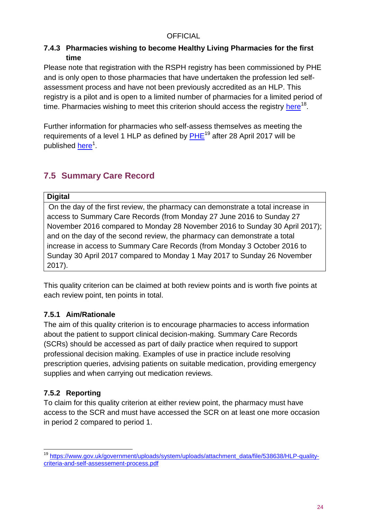### <span id="page-23-0"></span>**7.4.3 Pharmacies wishing to become Healthy Living Pharmacies for the first time**

Please note that registration with the RSPH registry has been commissioned by PHE and is only open to those pharmacies that have undertaken the profession led selfassessment process and have not been previously accredited as an HLP. This registry is a pilot and is open to a limited number of pharmacies for a limited period of time. Pharmacies wishing to meet this criterion should access the registry [here](https://www.rsph.org.uk/our-services/registration-healthy-living-pharmacies-level1/assessment-of-compliance.html)<sup>18</sup>.

Further information for pharmacies who self-assess themselves as meeting the requirements of a level 1 HLP as defined by  $PHE^{19}$  after 28 April 2017 will be published <u>here</u><sup>1</sup>.

### <span id="page-23-1"></span>**7.5 Summary Care Record**

#### **Digital**

On the day of the first review, the pharmacy can demonstrate a total increase in access to Summary Care Records (from Monday 27 June 2016 to Sunday 27 November 2016 compared to Monday 28 November 2016 to Sunday 30 April 2017); and on the day of the second review, the pharmacy can demonstrate a total increase in access to Summary Care Records (from Monday 3 October 2016 to Sunday 30 April 2017 compared to Monday 1 May 2017 to Sunday 26 November 2017).

This quality criterion can be claimed at both review points and is worth five points at each review point, ten points in total.

### <span id="page-23-2"></span>**7.5.1 Aim/Rationale**

The aim of this quality criterion is to encourage pharmacies to access information about the patient to support clinical decision-making. Summary Care Records (SCRs) should be accessed as part of daily practice when required to support professional decision making. Examples of use in practice include resolving prescription queries, advising patients on suitable medication, providing emergency supplies and when carrying out medication reviews.

### <span id="page-23-3"></span>**7.5.2 Reporting**

To claim for this quality criterion at either review point, the pharmacy must have access to the SCR and must have accessed the SCR on at least one more occasion in period 2 compared to period 1.

l <sup>19</sup> [https://www.gov.uk/government/uploads/system/uploads/attachment\\_data/file/538638/HLP-quality](https://www.gov.uk/government/uploads/system/uploads/attachment_data/file/538638/HLP-quality-criteria-and-self-assessement-process.pdf)[criteria-and-self-assessement-process.pdf](https://www.gov.uk/government/uploads/system/uploads/attachment_data/file/538638/HLP-quality-criteria-and-self-assessement-process.pdf)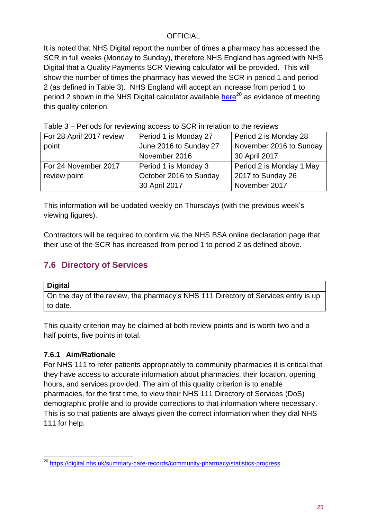It is noted that NHS Digital report the number of times a pharmacy has accessed the SCR in full weeks (Monday to Sunday), therefore NHS England has agreed with NHS Digital that a Quality Payments SCR Viewing calculator will be provided. This will show the number of times the pharmacy has viewed the SCR in period 1 and period 2 (as defined in Table 3). NHS England will accept an increase from period 1 to period 2 shown in the NHS Digital calculator available [here](https://digital.nhs.uk/summary-care-records/community-pharmacy/statistics-progress)<sup>20</sup> as evidence of meeting this quality criterion.

| For 28 April 2017 review | Period 1 is Monday 27  | Period 2 is Monday 28    |  |  |  |
|--------------------------|------------------------|--------------------------|--|--|--|
| point                    | June 2016 to Sunday 27 | November 2016 to Sunday  |  |  |  |
|                          | November 2016          | 30 April 2017            |  |  |  |
| For 24 November 2017     | Period 1 is Monday 3   | Period 2 is Monday 1 May |  |  |  |
| review point             | October 2016 to Sunday | 2017 to Sunday 26        |  |  |  |
|                          | 30 April 2017          | November 2017            |  |  |  |

Table 3 – Periods for reviewing access to SCR in relation to the reviews

This information will be updated weekly on Thursdays (with the previous week's viewing figures).

Contractors will be required to confirm via the NHS BSA online declaration page that their use of the SCR has increased from period 1 to period 2 as defined above.

### <span id="page-24-0"></span>**7.6 Directory of Services**

#### **Digital**

On the day of the review, the pharmacy's NHS 111 Directory of Services entry is up to date.

This quality criterion may be claimed at both review points and is worth two and a half points, five points in total.

### <span id="page-24-1"></span>**7.6.1 Aim/Rationale**

For NHS 111 to refer patients appropriately to community pharmacies it is critical that they have access to accurate information about pharmacies, their location, opening hours, and services provided. The aim of this quality criterion is to enable pharmacies, for the first time, to view their NHS 111 Directory of Services (DoS) demographic profile and to provide corrections to that information where necessary. This is so that patients are always given the correct information when they dial NHS 111 for help.

l <sup>20</sup> <https://digital.nhs.uk/summary-care-records/community-pharmacy/statistics-progress>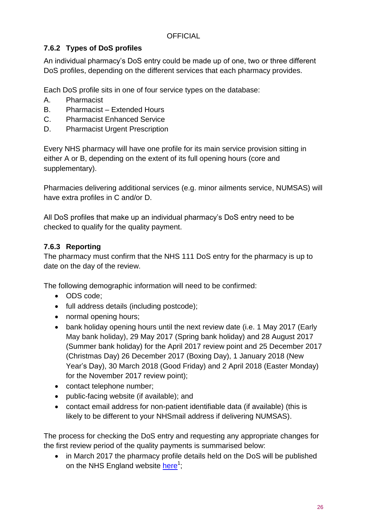### <span id="page-25-0"></span>**7.6.2 Types of DoS profiles**

An individual pharmacy's DoS entry could be made up of one, two or three different DoS profiles, depending on the different services that each pharmacy provides.

Each DoS profile sits in one of four service types on the database:

- A. Pharmacist
- B. Pharmacist Extended Hours
- C. Pharmacist Enhanced Service
- D. Pharmacist Urgent Prescription

Every NHS pharmacy will have one profile for its main service provision sitting in either A or B, depending on the extent of its full opening hours (core and supplementary).

Pharmacies delivering additional services (e.g. minor ailments service, NUMSAS) will have extra profiles in C and/or D.

All DoS profiles that make up an individual pharmacy's DoS entry need to be checked to qualify for the quality payment.

### <span id="page-25-1"></span>**7.6.3 Reporting**

The pharmacy must confirm that the NHS 111 DoS entry for the pharmacy is up to date on the day of the review.

The following demographic information will need to be confirmed:

- ODS code:
- full address details (including postcode);
- normal opening hours;
- bank holiday opening hours until the next review date (i.e. 1 May 2017 (Early May bank holiday), 29 May 2017 (Spring bank holiday) and 28 August 2017 (Summer bank holiday) for the April 2017 review point and 25 December 2017 (Christmas Day) 26 December 2017 (Boxing Day), 1 January 2018 (New Year's Day), 30 March 2018 (Good Friday) and 2 April 2018 (Easter Monday) for the November 2017 review point);
- contact telephone number;
- public-facing website (if available); and
- contact email address for non-patient identifiable data (if available) (this is likely to be different to your NHSmail address if delivering NUMSAS).

The process for checking the DoS entry and requesting any appropriate changes for the first review period of the quality payments is summarised below:

• in March 2017 the pharmacy profile details held on the DoS will be published on the NHS England website *[here](https://www.england.nhs.uk/commissioning/primary-care-comm/pharmacy/manual/pqp/)*<sup>1</sup>;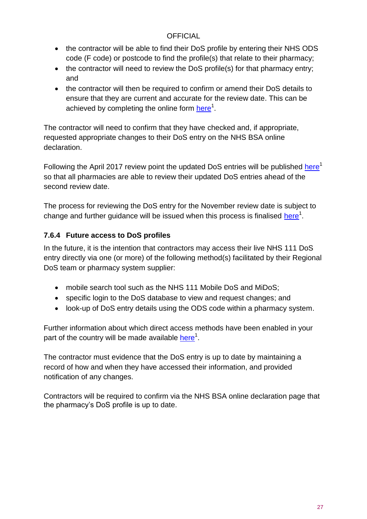- the contractor will be able to find their DoS profile by entering their NHS ODS code (F code) or postcode to find the profile(s) that relate to their pharmacy;
- the contractor will need to review the DoS profile(s) for that pharmacy entry; and
- the contractor will then be required to confirm or amend their DoS details to ensure that they are current and accurate for the review date. This can be achieved by completing the online form *here*<sup>1</sup>.

The contractor will need to confirm that they have checked and, if appropriate, requested appropriate changes to their DoS entry on the NHS BSA online declaration.

Following the April 2017 review point the updated DoS entries will be published [here](https://www.england.nhs.uk/commissioning/primary-care-comm/pharmacy/manual/pqp/)<sup>1</sup> so that all pharmacies are able to review their updated DoS entries ahead of the second review date.

The process for reviewing the DoS entry for the November review date is subject to change and further guidance will be issued when this process is finalised [here](https://www.england.nhs.uk/commissioning/primary-care-comm/pharmacy/manual/pqp/)<sup>1</sup>.

### <span id="page-26-0"></span>**7.6.4 Future access to DoS profiles**

In the future, it is the intention that contractors may access their live NHS 111 DoS entry directly via one (or more) of the following method(s) facilitated by their Regional DoS team or pharmacy system supplier:

- mobile search tool such as the NHS 111 Mobile DoS and MiDoS;
- specific login to the DoS database to view and request changes; and
- look-up of DoS entry details using the ODS code within a pharmacy system.

Further information about which direct access methods have been enabled in your part of the country will be made available [here](https://www.england.nhs.uk/commissioning/primary-care-comm/pharmacy/framework-1618/pqp/)<sup>1</sup>.

The contractor must evidence that the DoS entry is up to date by maintaining a record of how and when they have accessed their information, and provided notification of any changes.

Contractors will be required to confirm via the NHS BSA online declaration page that the pharmacy's DoS profile is up to date.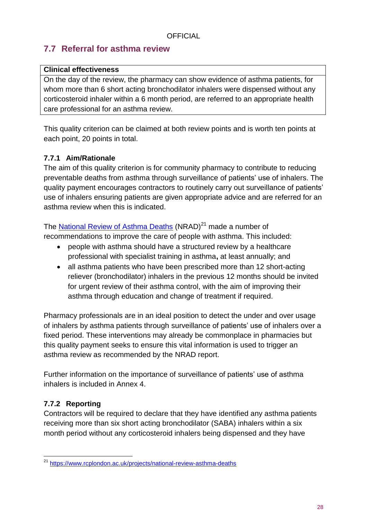### <span id="page-27-0"></span>**7.7 Referral for asthma review**

### **Clinical effectiveness**

On the day of the review, the pharmacy can show evidence of asthma patients, for whom more than 6 short acting bronchodilator inhalers were dispensed without any corticosteroid inhaler within a 6 month period, are referred to an appropriate health care professional for an asthma review.

This quality criterion can be claimed at both review points and is worth ten points at each point, 20 points in total.

### <span id="page-27-1"></span>**7.7.1 Aim/Rationale**

The aim of this quality criterion is for community pharmacy to contribute to reducing preventable deaths from asthma through surveillance of patients' use of inhalers. The quality payment encourages contractors to routinely carry out surveillance of patients' use of inhalers ensuring patients are given appropriate advice and are referred for an asthma review when this is indicated.

The [National Review of Asthma Deaths](https://www.rcplondon.ac.uk/projects/national-review-asthma-deaths) (NRAD)<sup>21</sup> made a number of recommendations to improve the care of people with asthma. This included:

- people with asthma should have a structured review by a healthcare professional with specialist training in asthma**,** at least annually; and
- all asthma patients who have been prescribed more than 12 short-acting reliever (bronchodilator) inhalers in the previous 12 months should be invited for urgent review of their asthma control, with the aim of improving their asthma through education and change of treatment if required.

Pharmacy professionals are in an ideal position to detect the under and over usage of inhalers by asthma patients through surveillance of patients' use of inhalers over a fixed period. These interventions may already be commonplace in pharmacies but this quality payment seeks to ensure this vital information is used to trigger an asthma review as recommended by the NRAD report.

Further information on the importance of surveillance of patients' use of asthma inhalers is included in Annex 4.

### <span id="page-27-2"></span>**7.7.2 Reporting**

Contractors will be required to declare that they have identified any asthma patients receiving more than six short acting bronchodilator (SABA) inhalers within a six month period without any corticosteroid inhalers being dispensed and they have

l <sup>21</sup> <https://www.rcplondon.ac.uk/projects/national-review-asthma-deaths>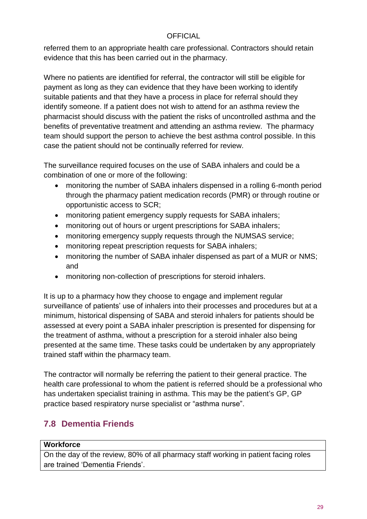referred them to an appropriate health care professional. Contractors should retain evidence that this has been carried out in the pharmacy.

Where no patients are identified for referral, the contractor will still be eligible for payment as long as they can evidence that they have been working to identify suitable patients and that they have a process in place for referral should they identify someone. If a patient does not wish to attend for an asthma review the pharmacist should discuss with the patient the risks of uncontrolled asthma and the benefits of preventative treatment and attending an asthma review. The pharmacy team should support the person to achieve the best asthma control possible. In this case the patient should not be continually referred for review.

The surveillance required focuses on the use of SABA inhalers and could be a combination of one or more of the following:

- monitoring the number of SABA inhalers dispensed in a rolling 6-month period through the pharmacy patient medication records (PMR) or through routine or opportunistic access to SCR;
- monitoring patient emergency supply requests for SABA inhalers;
- monitoring out of hours or urgent prescriptions for SABA inhalers;
- monitoring emergency supply requests through the NUMSAS service;
- monitoring repeat prescription requests for SABA inhalers;
- monitoring the number of SABA inhaler dispensed as part of a MUR or NMS; and
- monitoring non-collection of prescriptions for steroid inhalers.

It is up to a pharmacy how they choose to engage and implement regular surveillance of patients' use of inhalers into their processes and procedures but at a minimum, historical dispensing of SABA and steroid inhalers for patients should be assessed at every point a SABA inhaler prescription is presented for dispensing for the treatment of asthma, without a prescription for a steroid inhaler also being presented at the same time. These tasks could be undertaken by any appropriately trained staff within the pharmacy team.

The contractor will normally be referring the patient to their general practice. The health care professional to whom the patient is referred should be a professional who has undertaken specialist training in asthma. This may be the patient's GP, GP practice based respiratory nurse specialist or "asthma nurse".

### <span id="page-28-0"></span>**7.8 Dementia Friends**

#### **Workforce**

On the day of the review, 80% of all pharmacy staff working in patient facing roles are trained 'Dementia Friends'.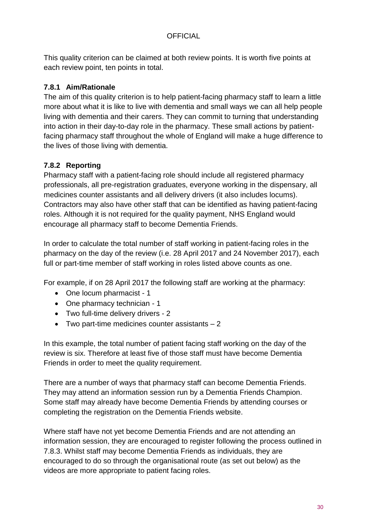This quality criterion can be claimed at both review points. It is worth five points at each review point, ten points in total.

### <span id="page-29-0"></span>**7.8.1 Aim/Rationale**

The aim of this quality criterion is to help patient-facing pharmacy staff to learn a little more about what it is like to live with dementia and small ways we can all help people living with dementia and their carers. They can commit to turning that understanding into action in their day-to-day role in the pharmacy. These small actions by patientfacing pharmacy staff throughout the whole of England will make a huge difference to the lives of those living with dementia.

### <span id="page-29-1"></span>**7.8.2 Reporting**

Pharmacy staff with a patient-facing role should include all registered pharmacy professionals, all pre-registration graduates, everyone working in the dispensary, all medicines counter assistants and all delivery drivers (it also includes locums). Contractors may also have other staff that can be identified as having patient-facing roles. Although it is not required for the quality payment, NHS England would encourage all pharmacy staff to become Dementia Friends.

In order to calculate the total number of staff working in patient-facing roles in the pharmacy on the day of the review (i.e. 28 April 2017 and 24 November 2017), each full or part-time member of staff working in roles listed above counts as one.

For example, if on 28 April 2017 the following staff are working at the pharmacy:

- One locum pharmacist 1
- One pharmacy technician 1
- Two full-time delivery drivers 2
- Two part-time medicines counter assistants 2

In this example, the total number of patient facing staff working on the day of the review is six. Therefore at least five of those staff must have become Dementia Friends in order to meet the quality requirement.

There are a number of ways that pharmacy staff can become Dementia Friends. They may attend an information session run by a Dementia Friends Champion. Some staff may already have become Dementia Friends by attending courses or completing the registration on the Dementia Friends website.

Where staff have not yet become Dementia Friends and are not attending an information session, they are encouraged to register following the process outlined in 7.8.3. Whilst staff may become Dementia Friends as individuals, they are encouraged to do so through the organisational route (as set out below) as the videos are more appropriate to patient facing roles.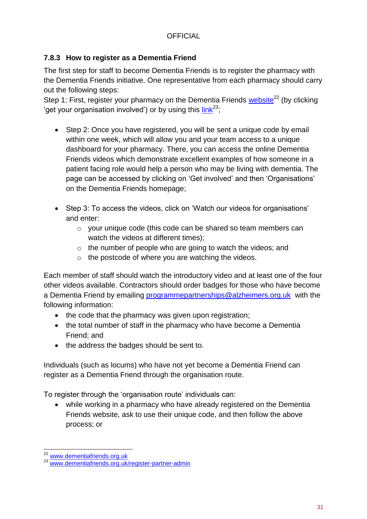### <span id="page-30-0"></span>**7.8.3 How to register as a Dementia Friend**

The first step for staff to become Dementia Friends is to register the pharmacy with the Dementia Friends initiative. One representative from each pharmacy should carry out the following steps:

Step 1: First, register your pharmacy on the Dementia Friends [website](http://www.dementiafriends.org.uk/)<sup>22</sup> (by clicking 'get your organisation involved') or by using this  $link^{23}$ ;

- Step 2: Once you have registered, you will be sent a unique code by email within one week, which will allow you and your team access to a unique dashboard for your pharmacy. There, you can access the online Dementia Friends videos which demonstrate excellent examples of how someone in a patient facing role would help a person who may be living with dementia. The page can be accessed by clicking on 'Get involved' and then 'Organisations' on the Dementia Friends homepage;
- Step 3: To access the videos, click on 'Watch our videos for organisations' and enter:
	- o your unique code (this code can be shared so team members can watch the videos at different times);
	- $\circ$  the number of people who are going to watch the videos; and
	- $\circ$  the postcode of where you are watching the videos.

Each member of staff should watch the introductory video and at least one of the four other videos available. Contractors should order badges for those who have become a Dementia Friend by emailing [programmepartnerships@alzheimers.org.uk](mailto:programmepartnerships@alzheimers.org.uk) with the following information:

- the code that the pharmacy was given upon registration;
- the total number of staff in the pharmacy who have become a Dementia Friend; and
- the address the badges should be sent to.

Individuals (such as locums) who have not yet become a Dementia Friend can register as a Dementia Friend through the organisation route.

To register through the 'organisation route' individuals can:

 while working in a pharmacy who have already registered on the Dementia Friends website, ask to use their unique code, and then follow the above process; or

l <sup>22</sup> [www.dementiafriends.org.uk](http://www.dementiafriends.org.uk/)

<sup>23</sup> [www.dementiafriends.org.uk/register-partner-admin](http://www.dementiafriends.org.uk/register-partner-admin)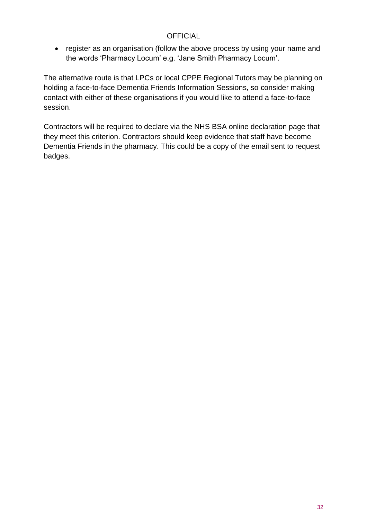• register as an organisation (follow the above process by using your name and the words 'Pharmacy Locum' e.g. 'Jane Smith Pharmacy Locum'.

The alternative route is that LPCs or local CPPE Regional Tutors may be planning on holding a face-to-face Dementia Friends Information Sessions, so consider making contact with either of these organisations if you would like to attend a face-to-face session.

Contractors will be required to declare via the NHS BSA online declaration page that they meet this criterion. Contractors should keep evidence that staff have become Dementia Friends in the pharmacy. This could be a copy of the email sent to request badges.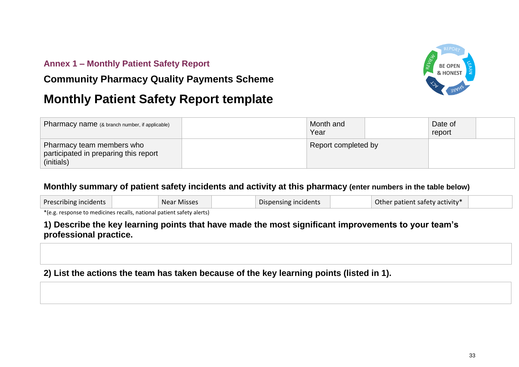### **Annex 1 – Monthly Patient Safety Report**

### **Community Pharmacy Quality Payments Scheme**



# **Monthly Patient Safety Report template**

| Pharmacy name (& branch number, if applicable)                                   | Month and<br>Year   |  | Date of<br>report |  |
|----------------------------------------------------------------------------------|---------------------|--|-------------------|--|
| Pharmacy team members who<br>participated in preparing this report<br>(initials) | Report completed by |  |                   |  |

### **Monthly summary of patient safety incidents and activity at this pharmacy (enter numbers in the table below)**

| Prescribing incidents<br>Near Misses | Dispensing incidents | Other patient safety activity* |  |
|--------------------------------------|----------------------|--------------------------------|--|
|--------------------------------------|----------------------|--------------------------------|--|

<span id="page-32-0"></span>\*(e.g. response to medicines recalls, national patient safety alerts)

### **1) Describe the key learning points that have made the most significant improvements to your team's professional practice.**

### **2) List the actions the team has taken because of the key learning points (listed in 1).**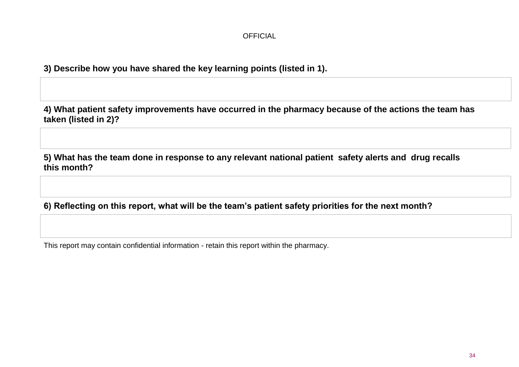**3) Describe how you have shared the key learning points (listed in 1).**

**4) What patient safety improvements have occurred in the pharmacy because of the actions the team has taken (listed in 2)?**

**5) What has the team done in response to any relevant national patient safety alerts and drug recalls this month?**

**6) Reflecting on this report, what will be the team's patient safety priorities for the next month?**

This report may contain confidential information - retain this report within the pharmacy.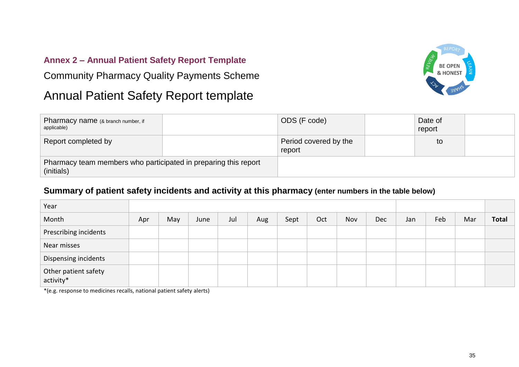### **Annex 2 – Annual Patient Safety Report Template**

Community Pharmacy Quality Payments Scheme

# Annual Patient Safety Report template



| Pharmacy name (& branch number, if<br>applicable)                             |  | ODS (F code)                    | Date of<br>report |  |
|-------------------------------------------------------------------------------|--|---------------------------------|-------------------|--|
| Report completed by                                                           |  | Period covered by the<br>report | to                |  |
| Pharmacy team members who participated in preparing this report<br>(initials) |  |                                 |                   |  |

### **Summary of patient safety incidents and activity at this pharmacy (enter numbers in the table below)**

<span id="page-34-0"></span>

| Year                              |     |     |      |     |     |      |     |     |            |     |     |     |              |
|-----------------------------------|-----|-----|------|-----|-----|------|-----|-----|------------|-----|-----|-----|--------------|
| Month                             | Apr | May | June | Jul | Aug | Sept | Oct | Nov | <b>Dec</b> | Jan | Feb | Mar | <b>Total</b> |
| Prescribing incidents             |     |     |      |     |     |      |     |     |            |     |     |     |              |
| Near misses                       |     |     |      |     |     |      |     |     |            |     |     |     |              |
| Dispensing incidents              |     |     |      |     |     |      |     |     |            |     |     |     |              |
| Other patient safety<br>activity* |     |     |      |     |     |      |     |     |            |     |     |     |              |

\*(e.g. response to medicines recalls, national patient safety alerts)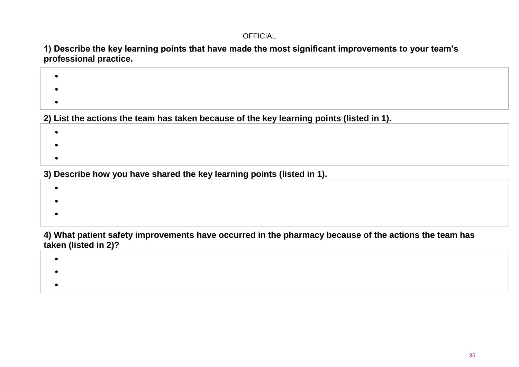**1) Describe the key learning points that have made the most significant improvements to your team's professional practice.**

- $\bullet$  $\bullet$  $\bullet$ **2) List the actions the team has taken because of the key learning points (listed in 1).**  $\bullet$ 
	- $\bullet$
	- $\bullet$

**3) Describe how you have shared the key learning points (listed in 1).**

- $\bullet$  $\bullet$
- $\bullet$

**4) What patient safety improvements have occurred in the pharmacy because of the actions the team has taken (listed in 2)?**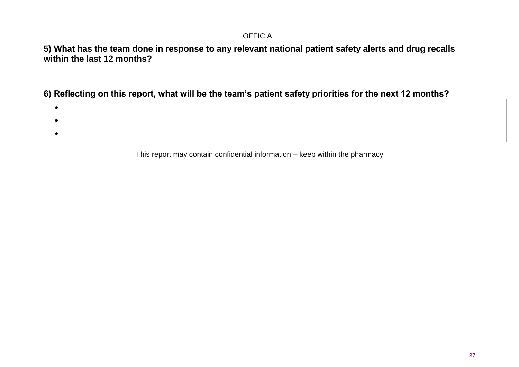### **5) What has the team done in response to any relevant national patient safety alerts and drug recalls within the last 12 months?**

**6) Reflecting on this report, what will be the team's patient safety priorities for the next 12 months?**

- $\bullet$
- 
- $\bullet$
- $\bullet$

This report may contain confidential information – keep within the pharmacy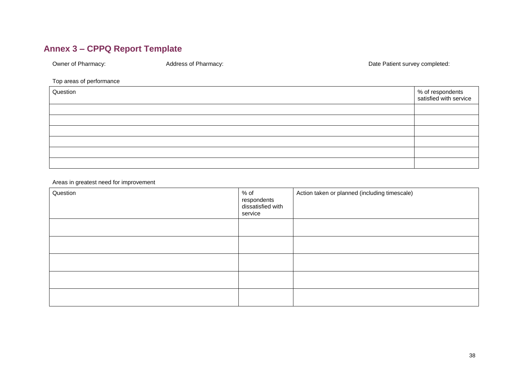### **Annex 3 – CPPQ Report Template**

Owner of Pharmacy: and a metal Address of Pharmacy: Date Patient survey completed: Date Patient survey completed:

#### Top areas of performance

| Question | % of respondents<br>satisfied with service |
|----------|--------------------------------------------|
|          |                                            |
|          |                                            |
|          |                                            |
|          |                                            |
|          |                                            |
|          |                                            |

Areas in greatest need for improvement

<span id="page-37-0"></span>

| Question | $%$ of<br>respondents<br>dissatisfied with<br>service | Action taken or planned (including timescale) |
|----------|-------------------------------------------------------|-----------------------------------------------|
|          |                                                       |                                               |
|          |                                                       |                                               |
|          |                                                       |                                               |
|          |                                                       |                                               |
|          |                                                       |                                               |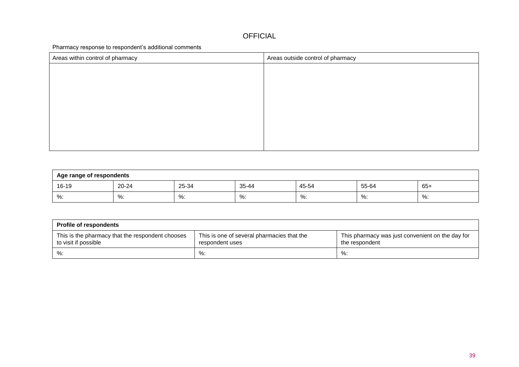Pharmacy response to respondent's additional comments

| Areas within control of pharmacy | Areas outside control of pharmacy |
|----------------------------------|-----------------------------------|
|                                  |                                   |
|                                  |                                   |
|                                  |                                   |
|                                  |                                   |
|                                  |                                   |
|                                  |                                   |
|                                  |                                   |
|                                  |                                   |

| Age range of respondents |       |       |       |       |       |       |
|--------------------------|-------|-------|-------|-------|-------|-------|
| 16-19                    | 20-24 | 25-34 | 35-44 | 45-54 | 55-64 | $65+$ |
| $%$ :                    | %:    | %     | %:    | %:    | %:    | %     |

| <b>Profile of respondents</b>                                            |                                                               |                                                                    |  |  |  |  |
|--------------------------------------------------------------------------|---------------------------------------------------------------|--------------------------------------------------------------------|--|--|--|--|
| This is the pharmacy that the respondent chooses<br>to visit if possible | This is one of several pharmacies that the<br>respondent uses | This pharmacy was just convenient on the day for<br>the respondent |  |  |  |  |
| %:                                                                       | $\%$ :                                                        | %:                                                                 |  |  |  |  |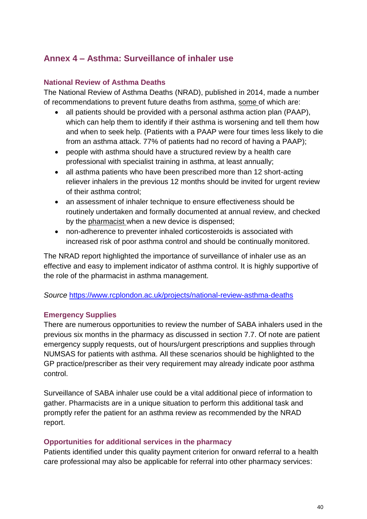### <span id="page-39-0"></span>**Annex 4 – Asthma: Surveillance of inhaler use**

#### <span id="page-39-1"></span>**National Review of Asthma Deaths**

The National Review of Asthma Deaths (NRAD), published in 2014, made a number of recommendations to prevent future deaths from asthma, some of which are:

- all patients should be provided with a personal asthma action plan (PAAP), which can help them to identify if their asthma is worsening and tell them how and when to seek help. (Patients with a PAAP were four times less likely to die from an asthma attack. 77% of patients had no record of having a PAAP);
- people with asthma should have a structured review by a health care professional with specialist training in asthma, at least annually;
- all asthma patients who have been prescribed more than 12 short-acting reliever inhalers in the previous 12 months should be invited for urgent review of their asthma control;
- an assessment of inhaler technique to ensure effectiveness should be routinely undertaken and formally documented at annual review, and checked by the pharmacist when a new device is dispensed;
- non-adherence to preventer inhaled corticosteroids is associated with increased risk of poor asthma control and should be continually monitored.

The NRAD report highlighted the importance of surveillance of inhaler use as an effective and easy to implement indicator of asthma control. It is highly supportive of the role of the pharmacist in asthma management.

#### *Source* <https://www.rcplondon.ac.uk/projects/national-review-asthma-deaths>

#### <span id="page-39-2"></span>**Emergency Supplies**

There are numerous opportunities to review the number of SABA inhalers used in the previous six months in the pharmacy as discussed in section 7.7. Of note are patient emergency supply requests, out of hours/urgent prescriptions and supplies through NUMSAS for patients with asthma. All these scenarios should be highlighted to the GP practice/prescriber as their very requirement may already indicate poor asthma control.

Surveillance of SABA inhaler use could be a vital additional piece of information to gather. Pharmacists are in a unique situation to perform this additional task and promptly refer the patient for an asthma review as recommended by the NRAD report.

#### <span id="page-39-3"></span>**Opportunities for additional services in the pharmacy**

Patients identified under this quality payment criterion for onward referral to a health care professional may also be applicable for referral into other pharmacy services: